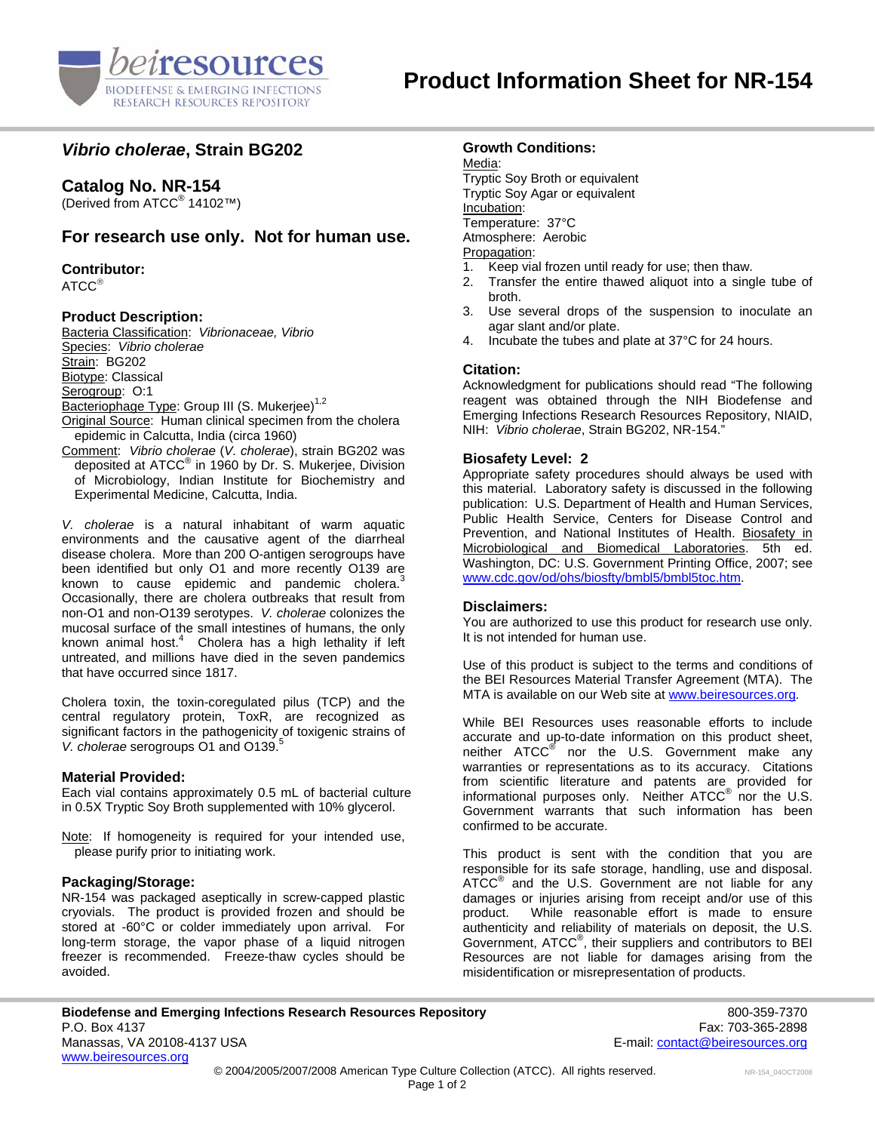

# *Vibrio cholerae***, Strain BG202**

# **Catalog No. NR-154**

(Derived from ATCC® 14102™)

# **For research use only. Not for human use.**

**Contributor:**

ATCC®

## **Product Description:**

Bacteria Classification: *Vibrionaceae, Vibrio*  Species: *Vibrio cholerae* Strain: BG202 Biotype: Classical Serogroup: O:1 Bacteriophage Type: Group III (S. Mukerjee)<sup>1,2</sup> Original Source: Human clinical specimen from the cholera epidemic in Calcutta, India (circa 1960)

Comment: *Vibrio cholerae* (*V. cholerae*), strain BG202 was deposited at ATCC® in 1960 by Dr. S. Mukerjee, Division of Microbiology, Indian Institute for Biochemistry and Experimental Medicine, Calcutta, India.

*V. cholerae* is a natural inhabitant of warm aquatic environments and the causative agent of the diarrheal disease cholera. More than 200 O-antigen serogroups have been identified but only O1 and more recently O139 are known to cause epidemic and pandemic cholera.<sup>3</sup> Occasionally, there are cholera outbreaks that result from non-O1 and non-O139 serotypes. *V. cholerae* colonizes the mucosal surface of the small intestines of humans, the only known animal host. $4$  Cholera has a high lethality if left untreated, and millions have died in the seven pandemics that have occurred since 1817.

Cholera toxin, the toxin-coregulated pilus (TCP) and the central regulatory protein, ToxR, are recognized as significant factors in the pathogenicity of toxigenic strains of *V. cholerae* serogroups O1 and O139.5

### **Material Provided:**

Each vial contains approximately 0.5 mL of bacterial culture in 0.5X Tryptic Soy Broth supplemented with 10% glycerol.

Note: If homogeneity is required for your intended use, please purify prior to initiating work.

### **Packaging/Storage:**

NR-154 was packaged aseptically in screw-capped plastic cryovials. The product is provided frozen and should be stored at -60°C or colder immediately upon arrival. For long-term storage, the vapor phase of a liquid nitrogen freezer is recommended. Freeze-thaw cycles should be avoided.

## **Growth Conditions:**

Media: Tryptic Soy Broth or equivalent Tryptic Soy Agar or equivalent Incubation: Temperature: 37°C Atmosphere: Aerobic Propagation:

- 1. Keep vial frozen until ready for use; then thaw.
- 2. Transfer the entire thawed aliquot into a single tube of broth.
- 3. Use several drops of the suspension to inoculate an agar slant and/or plate.
- 4. Incubate the tubes and plate at 37°C for 24 hours.

#### **Citation:**

Acknowledgment for publications should read "The following reagent was obtained through the NIH Biodefense and Emerging Infections Research Resources Repository, NIAID, NIH: *Vibrio cholerae*, Strain BG202, NR-154."

### **Biosafety Level: 2**

Appropriate safety procedures should always be used with this material. Laboratory safety is discussed in the following publication: U.S. Department of Health and Human Services, Public Health Service, Centers for Disease Control and Prevention, and National Institutes of Health. Biosafety in Microbiological and Biomedical Laboratories. 5th ed. Washington, DC: U.S. Government Printing Office, 2007; see [www.cdc.gov/od/ohs/biosfty/bmbl5/bmbl5toc.htm.](http://www.cdc.gov/od/ohs/biosfty/bmbl5/bmbl5toc.htm)

### **Disclaimers:**

You are authorized to use this product for research use only. It is not intended for human use.

Use of this product is subject to the terms and conditions of the BEI Resources Material Transfer Agreement (MTA). The MTA is available on our Web site at [www.beiresources.org](http://www.beiresources.org/).

While BEI Resources uses reasonable efforts to include accurate and up-to-date information on this product sheet, neither ATCC<sup>®</sup> nor the U.S. Government make any warranties or representations as to its accuracy. Citations from scientific literature and patents are provided for informational purposes only. Neither  $\tt{ATCC}^{\circledR}$  nor the U.S. Government warrants that such information has been confirmed to be accurate.

This product is sent with the condition that you are responsible for its safe storage, handling, use and disposal. ATCC<sup>®</sup> and the U.S. Government are not liable for any damages or injuries arising from receipt and/or use of this product. While reasonable effort is made to ensure authenticity and reliability of materials on deposit, the U.S. Government, ATCC® , their suppliers and contributors to BEI Resources are not liable for damages arising from the misidentification or misrepresentation of products.